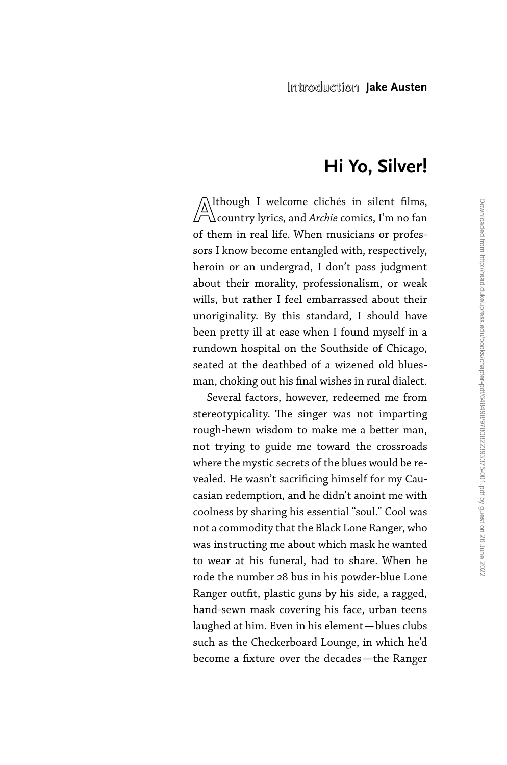## **Hi Yo, Silver!**

Although I welcome clichés in silent films,<br>
country lyrics, and *Archie* comics, I'm no fan of them in real life. When musicians or professors I know become entangled with, respectively, heroin or an undergrad, I don't pass judgment about their morality, professionalism, or weak wills, but rather I feel embarrassed about their unoriginality. By this standard, I should have been pretty ill at ease when I found myself in a rundown hospital on the Southside of Chicago, seated at the deathbed of a wizened old bluesman, choking out his final wishes in rural dialect.

 Several factors, however, redeemed me from stereotypicality. The singer was not imparting rough-hewn wisdom to make me a better man, not trying to guide me toward the crossroads where the mystic secrets of the blues would be revealed. He wasn't sacrificing himself for my Caucasian redemption, and he didn't anoint me with coolness by sharing his essential "soul." Cool was not a commodity that the Black Lone Ranger, who was instructing me about which mask he wanted to wear at his funeral, had to share. When he rode the number 28 bus in his powder-blue Lone Ranger outfit, plastic guns by his side, a ragged, hand-sewn mask covering his face, urban teens laughed at him. Even in his element—blues clubs such as the Checkerboard Lounge, in which he'd become a fixture over the decades—the Ranger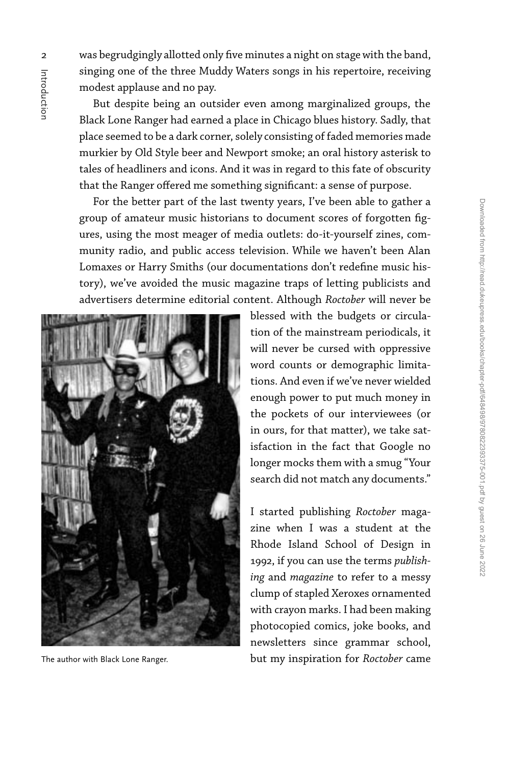was begrudgingly allotted only five minutes a night on stage with the band, singing one of the three Muddy Waters songs in his repertoire, receiving modest applause and no pay.

 But despite being an outsider even among marginalized groups, the Black Lone Ranger had earned a place in Chicago blues history. Sadly, that place seemed to be a dark corner, solely consisting of faded memories made murkier by Old Style beer and Newport smoke; an oral history asterisk to tales of headliners and icons. And it was in regard to this fate of obscurity that the Ranger offered me something significant: a sense of purpose.

 For the better part of the last twenty years, I've been able to gather a group of amateur music historians to document scores of forgotten figures, using the most meager of media outlets: do-it-yourself zines, community radio, and public access television. While we haven't been Alan Lomaxes or Harry Smiths (our documentations don't redefine music history), we've avoided the music magazine traps of letting publicists and advertisers determine editorial content. Although *Roctober* will never be



blessed with the budgets or circulation of the mainstream periodicals, it will never be cursed with oppressive word counts or demographic limitations. And even if we've never wielded enough power to put much money in the pockets of our interviewees (or in ours, for that matter), we take satisfaction in the fact that Google no longer mocks them with a smug "Your search did not match any documents."

I started publishing *Roctober* magazine when I was a student at the Rhode Island School of Design in 1992, if you can use the terms *publishing* and *magazine* to refer to a messy clump of stapled Xeroxes ornamented with crayon marks. I had been making photocopied comics, joke books, and newsletters since grammar school, The author with Black Lone Ranger. but my inspiration for *Roctober* came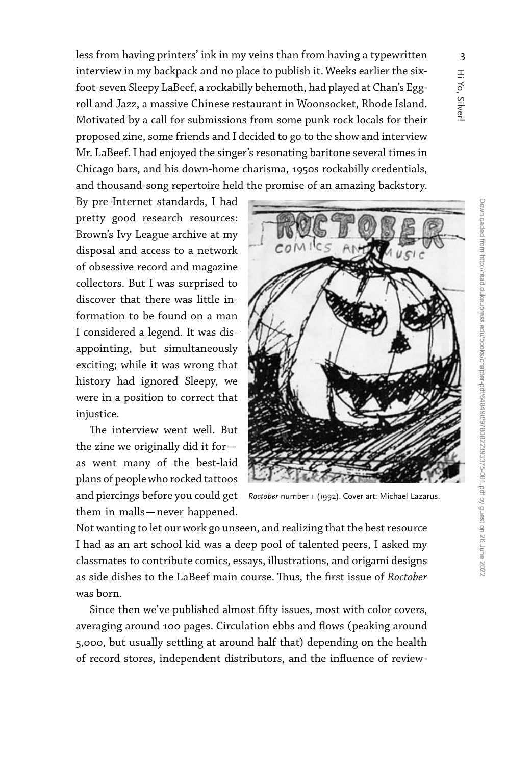less from having printers' ink in my veins than from having a typewritten 3 interview in my backpack and no place to publish it. Weeks earlier the sixfoot- seven Sleepy LaBeef, a rockabilly behemoth, had played at Chan's Eggroll and Jazz, a massive Chinese restaurant in Woonsocket, Rhode Island. Motivated by a call for submissions from some punk rock locals for their proposed zine, some friends and I decided to go to the show and interview Mr. LaBeef. I had enjoyed the singer's resonating baritone several times in Chicago bars, and his down- home charisma, 1950s rockabilly credentials, and thousand- song repertoire held the promise of an amazing backstory.

By pre- Internet standards, I had pretty good research resources: Brown's Ivy League archive at my disposal and access to a network of obsessive record and magazine collectors. But I was surprised to discover that there was little information to be found on a man I considered a legend. It was disappointing, but simultaneously exciting; while it was wrong that history had ignored Sleepy, we were in a position to correct that injustice.

 The interview went well. But the zine we originally did it for as went many of the best-laid plans of people who rocked tattoos and piercings before you could get them in malls—never happened.



*Roctober* number 1 (1992). Cover art: Michael Lazarus.

Not wanting to let our work go unseen, and realizing that the best resource I had as an art school kid was a deep pool of talented peers, I asked my classmates to contribute comics, essays, illustrations, and origami designs as side dishes to the LaBeef main course. Thus, the first issue of *Roctober* was born.

 Since then we've published almost fifty issues, most with color covers, averaging around 100 pages. Circulation ebbs and flows (peaking around 5,000, but usually settling at around half that) depending on the health of record stores, independent distributors, and the influence of review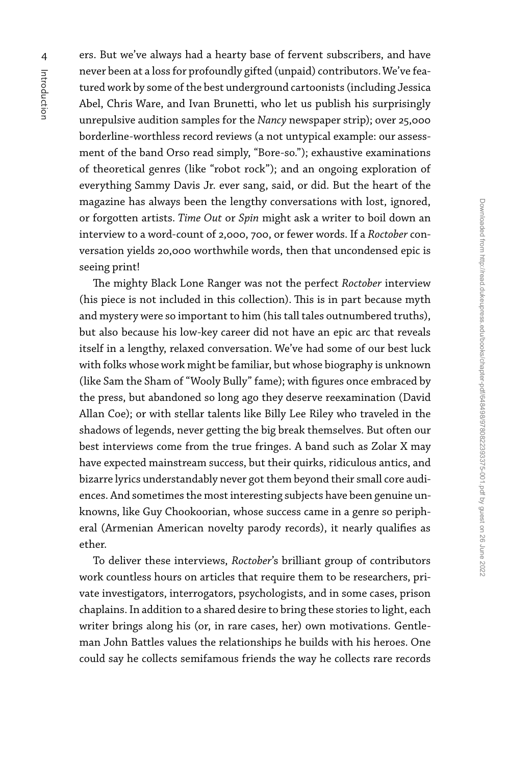ers. But we've always had a hearty base of fervent subscribers, and have never been at a loss for profoundly gifted (unpaid) contributors. We've featured work by some of the best underground cartoonists (including Jessica Abel, Chris Ware, and Ivan Brunetti, who let us publish his surprisingly unrepulsive audition samples for the *Nancy* newspaper strip); over 25,000 borderline- worthless record reviews (a not untypical example: our assessment of the band Orso read simply, "Bore-so."); exhaustive examinations of theoretical genres (like "robot rock"); and an ongoing exploration of everything Sammy Davis Jr. ever sang, said, or did. But the heart of the magazine has always been the lengthy conversations with lost, ignored, or forgotten artists. *Time Out* or *Spin* might ask a writer to boil down an interview to a word- count of 2,000, 700, or fewer words. If a *Roctober* conversation yields 20,000 worthwhile words, then that uncondensed epic is seeing print!

 The mighty Black Lone Ranger was not the perfect *Roctober* interview (his piece is not included in this collection). This is in part because myth and mystery were so important to him (his tall tales outnumbered truths), but also because his low-key career did not have an epic arc that reveals itself in a lengthy, relaxed conversation. We've had some of our best luck with folks whose work might be familiar, but whose biography is unknown (like Sam the Sham of "Wooly Bully" fame); with figures once embraced by the press, but abandoned so long ago they deserve reexamination (David Allan Coe); or with stellar talents like Billy Lee Riley who traveled in the shadows of legends, never getting the big break themselves. But often our best interviews come from the true fringes. A band such as Zolar X may have expected mainstream success, but their quirks, ridiculous antics, and bizarre lyrics understandably never got them beyond their small core audiences. And sometimes the most interesting subjects have been genuine unknowns, like Guy Chookoorian, whose success came in a genre so peripheral (Armenian American novelty parody records), it nearly qualifies as ether.

 To deliver these interviews, *Roctober*'s brilliant group of contributors work countless hours on articles that require them to be researchers, private investigators, interrogators, psychologists, and in some cases, prison chaplains. In addition to a shared desire to bring these stories to light, each writer brings along his (or, in rare cases, her) own motivations. Gentleman John Battles values the relationships he builds with his heroes. One could say he collects semifamous friends the way he collects rare records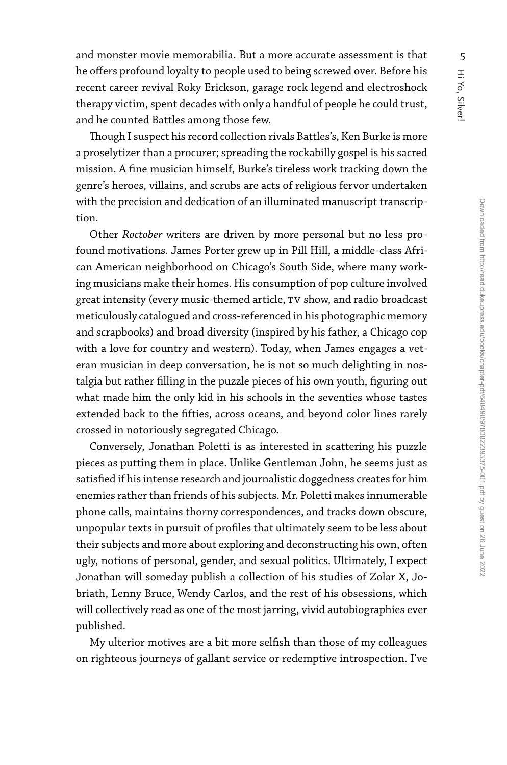Though I suspect his record collection rivals Battles's, Ken Burke is more a proselytizer than a procurer; spreading the rockabilly gospel is his sacred mission. A fine musician himself, Burke's tireless work tracking down the genre's heroes, villains, and scrubs are acts of religious fervor undertaken with the precision and dedication of an illuminated manuscript transcription.

 Other *Roctober* writers are driven by more personal but no less profound motivations. James Porter grew up in Pill Hill, a middle- class African American neighborhood on Chicago's South Side, where many working musicians make their homes. His consumption of pop culture involved great intensity (every music- themed article, Tv show, and radio broadcast meticulously catalogued and cross- referenced in his photographic memory and scrapbooks) and broad diversity (inspired by his father, a Chicago cop with a love for country and western). Today, when James engages a veteran musician in deep conversation, he is not so much delighting in nostalgia but rather filling in the puzzle pieces of his own youth, figuring out what made him the only kid in his schools in the seventies whose tastes extended back to the fifties, across oceans, and beyond color lines rarely crossed in notoriously segregated Chicago.

 Conversely, Jonathan Poletti is as interested in scattering his puzzle pieces as putting them in place. Unlike Gentleman John, he seems just as satisfied if his intense research and journalistic doggedness creates for him enemies rather than friends of his subjects. Mr. Poletti makes innumerable phone calls, maintains thorny correspondences, and tracks down obscure, unpopular texts in pursuit of profiles that ultimately seem to be less about their subjects and more about exploring and deconstructing his own, often ugly, notions of personal, gender, and sexual politics. Ultimately, I expect Jonathan will someday publish a collection of his studies of Zolar X, Jobriath, Lenny Bruce, Wendy Carlos, and the rest of his obsessions, which will collectively read as one of the most jarring, vivid autobiographies ever published.

 My ulterior motives are a bit more selfish than those of my colleagues on righteous journeys of gallant service or redemptive introspection. I've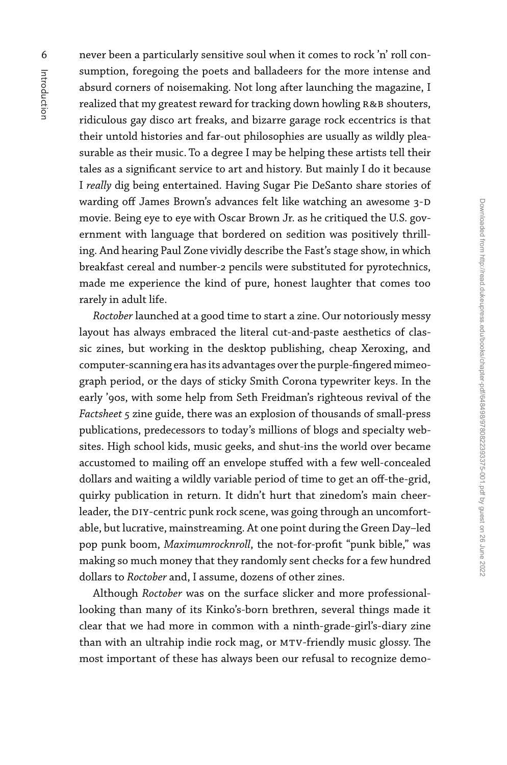never been a particularly sensitive soul when it comes to rock 'n' roll consumption, foregoing the poets and balladeers for the more intense and absurd corners of noisemaking. Not long after launching the magazine, I realized that my greatest reward for tracking down howling R&B shouters, ridiculous gay disco art freaks, and bizarre garage rock eccentrics is that their untold histories and far- out philosophies are usually as wildly pleasurable as their music. To a degree I may be helping these artists tell their tales as a significant service to art and history. But mainly I do it because I *really* dig being entertained. Having Sugar Pie DeSanto share stories of warding off James Brown's advances felt like watching an awesome 3-D movie. Being eye to eye with Oscar Brown Jr. as he critiqued the U.S. government with language that bordered on sedition was positively thrilling. And hearing Paul Zone vividly describe the Fast's stage show, in which breakfast cereal and number-2 pencils were substituted for pyrotechnics, made me experience the kind of pure, honest laughter that comes too rarely in adult life.

*Roctober* launched at a good time to start a zine. Our notoriously messy layout has always embraced the literal cut-and-paste aesthetics of classic zines, but working in the desktop publishing, cheap Xeroxing, and computer- scanning era has its advantages over the purple- fingered mimeograph period, or the days of sticky Smith Corona typewriter keys. In the early '90s, with some help from Seth Freidman's righteous revival of the *Factsheet* 5 zine guide, there was an explosion of thousands of small-press publications, predecessors to today's millions of blogs and specialty websites. High school kids, music geeks, and shut- ins the world over became accustomed to mailing off an envelope stuffed with a few well- concealed dollars and waiting a wildly variable period of time to get an off-the-grid, quirky publication in return. It didn't hurt that zinedom's main cheerleader, the DiY- centric punk rock scene, was going through an uncomfortable, but lucrative, mainstreaming. At one point during the Green Day–led pop punk boom, Maximumrocknroll, the not-for-profit "punk bible," was making so much money that they randomly sent checks for a few hundred dollars to *Roctober* and, I assume, dozens of other zines.

 Although *Roctober* was on the surface slicker and more professionallooking than many of its Kinko's- born brethren, several things made it clear that we had more in common with a ninth-grade-girl's-diary zine than with an ultrahip indie rock mag, or MTv- friendly music glossy. The most important of these has always been our refusal to recognize demo-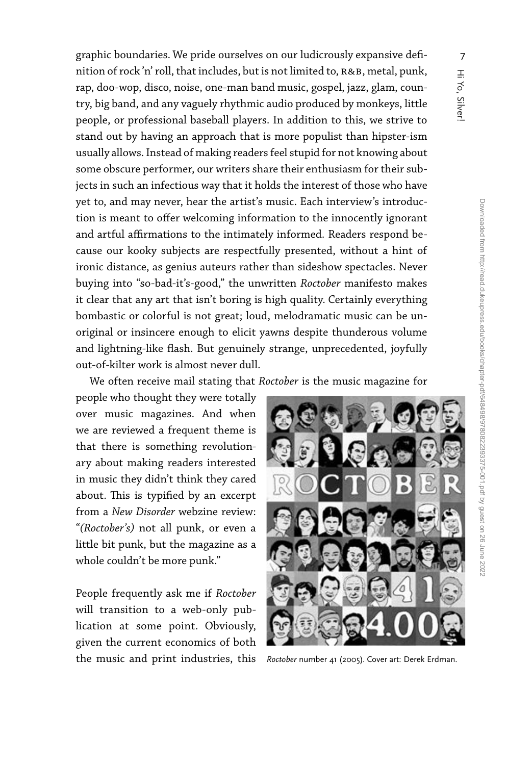graphic boundaries. We pride ourselves on our ludicrously expansive defi- 7 nition of rock 'n' roll, that includes, but is not limited to, R&B, metal, punk, rap, doo- wop, disco, noise, one- man band music, gospel, jazz, glam, country, big band, and any vaguely rhythmic audio produced by monkeys, little people, or professional baseball players. In addition to this, we strive to stand out by having an approach that is more populist than hipster-ism usually allows. Instead of making readers feel stupid for not knowing about some obscure performer, our writers share their enthusiasm for their subjects in such an infectious way that it holds the interest of those who have yet to, and may never, hear the artist's music. Each interview's introduction is meant to offer welcoming information to the innocently ignorant and artful affirmations to the intimately informed. Readers respond because our kooky subjects are respectfully presented, without a hint of ironic distance, as genius auteurs rather than sideshow spectacles. Never buying into "so-bad-it's-good," the unwritten *Roctober* manifesto makes it clear that any art that isn't boring is high quality. Certainly everything bombastic or colorful is not great; loud, melodramatic music can be unoriginal or insincere enough to elicit yawns despite thunderous volume and lightning-like flash. But genuinely strange, unprecedented, joyfully out- of- kilter work is almost never dull.

We often receive mail stating that *Roctober* is the music magazine for

people who thought they were totally over music magazines. And when we are reviewed a frequent theme is that there is something revolutionary about making readers interested in music they didn't think they cared about. This is typified by an excerpt from a *New Disorder* webzine review: "*(Roctober's)* not all punk, or even a little bit punk, but the magazine as a whole couldn't be more punk."

People frequently ask me if *Roctober* will transition to a web-only publication at some point. Obviously, given the current economics of both the music and print industries, this *Roctober* number 41 (2005). Cover art: Derek Erdman.

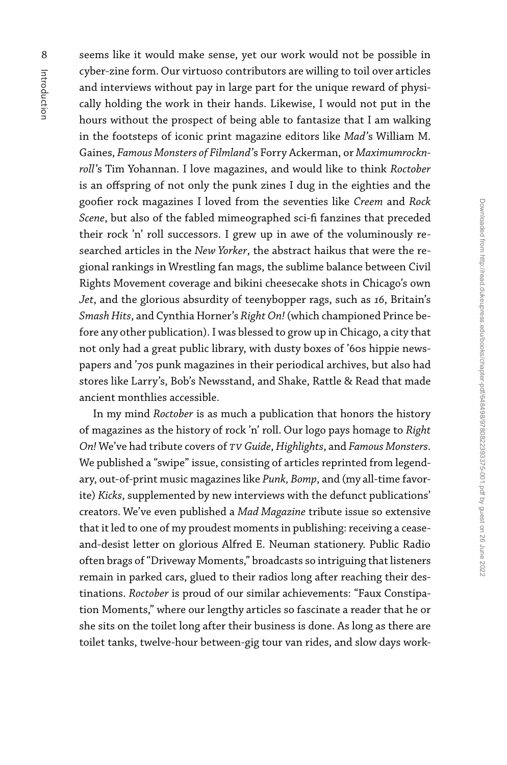seems like it would make sense, yet our work would not be possible in cyber-zine form. Our virtuoso contributors are willing to toil over articles and interviews without pay in large part for the unique reward of physically holding the work in their hands. Likewise, I would not put in the hours without the prospect of being able to fantasize that I am walking in the footsteps of iconic print magazine editors like *Mad*'s William M. Gaines, *Famous Monsters of Filmland*'s Forry Ackerman, or *Maximumrocknroll*'s Tim Yohannan. I love magazines, and would like to think *Roctober* is an offspring of not only the punk zines I dug in the eighties and the goofier rock magazines I loved from the seventies like *Creem* and *Rock*  Scene, but also of the fabled mimeographed sci-fi fanzines that preceded their rock 'n' roll successors. I grew up in awe of the voluminously researched articles in the *New Yorker*, the abstract haikus that were the regional rankings in Wrestling fan mags, the sublime balance between Civil Rights Movement coverage and bikini cheesecake shots in Chicago's own *Jet*, and the glorious absurdity of teenybopper rags, such as *16*, Britain's *Smash Hits*, and Cynthia Horner's *Right On!* (which championed Prince before any other publication). I was blessed to grow up in Chicago, a city that not only had a great public library, with dusty boxes of '60s hippie newspapers and '70s punk magazines in their periodical archives, but also had stores like Larry's, Bob's Newsstand, and Shake, Rattle & Read that made ancient monthlies accessible.

 In my mind *Roctober* is as much a publication that honors the history of magazines as the history of rock 'n' roll. Our logo pays homage to *Right On!* We've had tribute covers of *TV Guide*, *Highlights*, and *Famous Monsters*. We published a "swipe" issue, consisting of articles reprinted from legendary, out-of-print music magazines like Punk, Bomp, and (my all-time favorite) *Kicks*, supplemented by new interviews with the defunct publications' creators. We've even published a *Mad Magazine* tribute issue so extensive that it led to one of my proudest moments in publishing: receiving a ceaseand- desist letter on glorious Alfred E. Neuman stationery. Public Radio often brags of "Driveway Moments," broadcasts so intriguing that listeners remain in parked cars, glued to their radios long after reaching their destinations. *Roctober* is proud of our similar achievements: "Faux Constipation Moments," where our lengthy articles so fascinate a reader that he or she sits on the toilet long after their business is done. As long as there are toilet tanks, twelve-hour between-gig tour van rides, and slow days work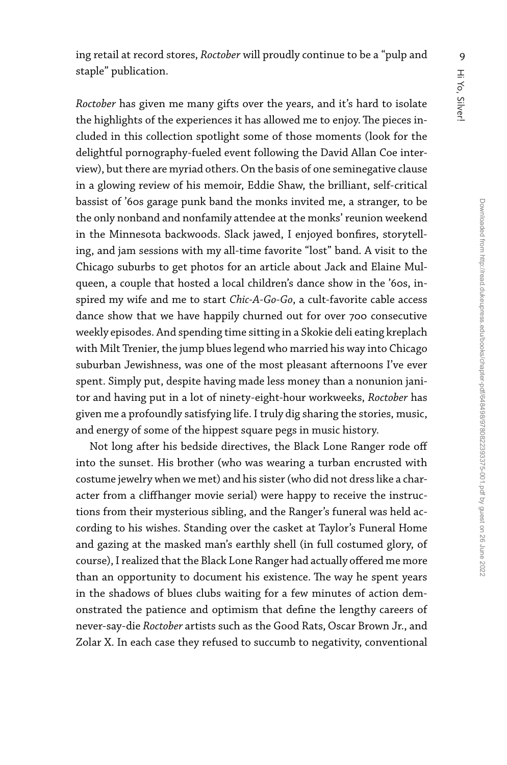ing retail at record stores, *Roctober* will proudly continue to be a "pulp and 9 staple" publication.

*Roctober* has given me many gifts over the years, and it's hard to isolate the highlights of the experiences it has allowed me to enjoy. The pieces included in this collection spotlight some of those moments (look for the delightful pornography-fueled event following the David Allan Coe interview), but there are myriad others. On the basis of one seminegative clause in a glowing review of his memoir, Eddie Shaw, the brilliant, self- critical bassist of '60s garage punk band the monks invited me, a stranger, to be the only nonband and nonfamily attendee at the monks' reunion weekend in the Minnesota backwoods. Slack jawed, I enjoyed bonfires, storytelling, and jam sessions with my all-time favorite "lost" band. A visit to the Chicago suburbs to get photos for an article about Jack and Elaine Mulqueen, a couple that hosted a local children's dance show in the '60s, inspired my wife and me to start *Chic- A- Go- Go*, a cult- favorite cable access dance show that we have happily churned out for over 700 consecutive weekly episodes. And spending time sitting in a Skokie deli eating kreplach with Milt Trenier, the jump blues legend who married his way into Chicago suburban Jewishness, was one of the most pleasant afternoons I've ever spent. Simply put, despite having made less money than a nonunion janitor and having put in a lot of ninety- eight- hour workweeks, *Roctober* has given me a profoundly satisfying life. I truly dig sharing the stories, music, and energy of some of the hippest square pegs in music history.

 Not long after his bedside directives, the Black Lone Ranger rode off into the sunset. His brother (who was wearing a turban encrusted with costume jewelry when we met) and his sister (who did not dress like a character from a cliffhanger movie serial) were happy to receive the instructions from their mysterious sibling, and the Ranger's funeral was held according to his wishes. Standing over the casket at Taylor's Funeral Home and gazing at the masked man's earthly shell (in full costumed glory, of course), I realized that the Black Lone Ranger had actually offered me more than an opportunity to document his existence. The way he spent years in the shadows of blues clubs waiting for a few minutes of action demonstrated the patience and optimism that define the lengthy careers of never- say- die *Roctober* artists such as the Good Rats, Oscar Brown Jr., and Zolar X. In each case they refused to succumb to negativity, conventional